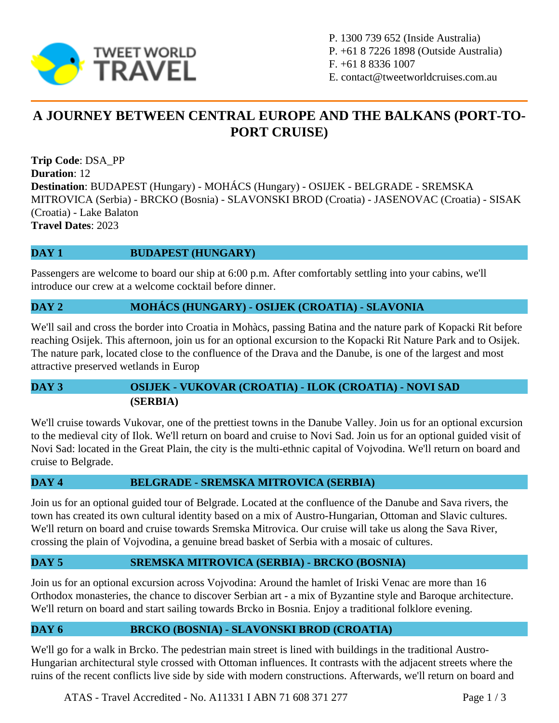

P. 1300 739 652 (Inside Australia) P. +61 8 7226 1898 (Outside Australia) F. +61 8 8336 1007 E. contact@tweetworldcruises.com.au

# **A JOURNEY BETWEEN CENTRAL EUROPE AND THE BALKANS (PORT-TO-PORT CRUISE)**

**Trip Code**: DSA\_PP **Duration**: 12 **Destination**: BUDAPEST (Hungary) - MOHÁCS (Hungary) - OSIJEK - BELGRADE - SREMSKA MITROVICA (Serbia) - BRCKO (Bosnia) - SLAVONSKI BROD (Croatia) - JASENOVAC (Croatia) - SISAK (Croatia) - Lake Balaton **Travel Dates**: 2023

## **DAY 1 BUDAPEST** (HUNGARY)

Passengers are welcome to board our ship at 6:00 p.m. After comfortably settling into your cabins, we'll introduce our crew at a welcome cocktail before dinner.

#### **DAY 2 MOHÁCS (HUNGARY) - OSIJEK (CROATIA) - SLAVONIA**

We'll sail and cross the border into Croatia in Mohàcs, passing Batina and the nature park of Kopacki Rit before reaching Osijek. This afternoon, join us for an optional excursion to the Kopacki Rit Nature Park and to Osijek. The nature park, located close to the confluence of the Drava and the Danube, is one of the largest and most attractive preserved wetlands in Europ

# **DAY 3 OSIJEK - VUKOVAR (CROATIA) - ILOK (CROATIA) - NOVI SAD (SERBIA)**

We'll cruise towards Vukovar, one of the prettiest towns in the Danube Valley. Join us for an optional excursion to the medieval city of Ilok. We'll return on board and cruise to Novi Sad. Join us for an optional guided visit of Novi Sad: located in the Great Plain, the city is the multi-ethnic capital of Vojvodina. We'll return on board and cruise to Belgrade.

## **DAY 4 BELGRADE - SREMSKA MITROVICA (SERBIA)**

Join us for an optional guided tour of Belgrade. Located at the confluence of the Danube and Sava rivers, the town has created its own cultural identity based on a mix of Austro-Hungarian, Ottoman and Slavic cultures. We'll return on board and cruise towards Sremska Mitrovica. Our cruise will take us along the Sava River, crossing the plain of Vojvodina, a genuine bread basket of Serbia with a mosaic of cultures.

## **DAY 5 SREMSKA MITROVICA (SERBIA) - BRCKO (BOSNIA)**

Join us for an optional excursion across Vojvodina: Around the hamlet of Iriski Venac are more than 16 Orthodox monasteries, the chance to discover Serbian art - a mix of Byzantine style and Baroque architecture. We'll return on board and start sailing towards Brcko in Bosnia. Enjoy a traditional folklore evening.

## **DAY 6 BRCKO (BOSNIA) - SLAVONSKI BROD (CROATIA)**

We'll go for a walk in Brcko. The pedestrian main street is lined with buildings in the traditional Austro-Hungarian architectural style crossed with Ottoman influences. It contrasts with the adjacent streets where the ruins of the recent conflicts live side by side with modern constructions. Afterwards, we'll return on board and

ATAS - Travel Accredited - No. A11331 I ABN 71 608 371 277 Page 1 / 3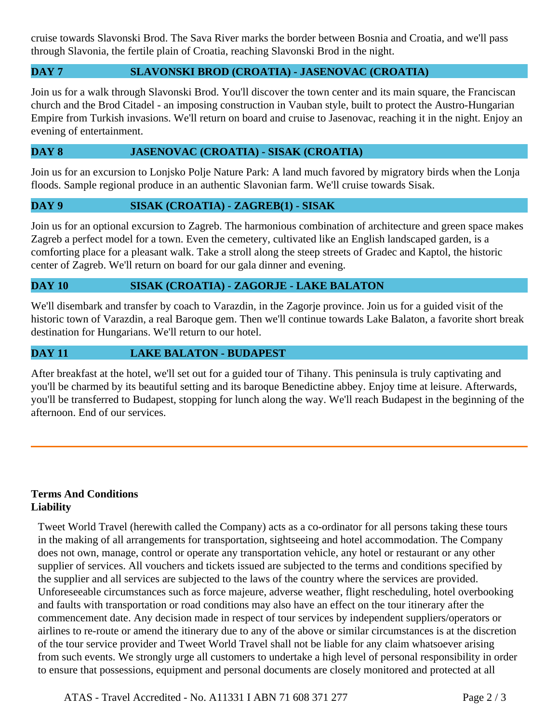cruise towards Slavonski Brod. The Sava River marks the border between Bosnia and Croatia, and we'll pass through Slavonia, the fertile plain of Croatia, reaching Slavonski Brod in the night.

## **DAY 7 SLAVONSKI BROD (CROATIA) - JASENOVAC (CROATIA)**

Join us for a walk through Slavonski Brod. You'll discover the town center and its main square, the Franciscan church and the Brod Citadel - an imposing construction in Vauban style, built to protect the Austro-Hungarian Empire from Turkish invasions. We'll return on board and cruise to Jasenovac, reaching it in the night. Enjoy an evening of entertainment.

### **DAY 8 JASENOVAC (CROATIA) - SISAK (CROATIA)**

Join us for an excursion to Lonjsko Polje Nature Park: A land much favored by migratory birds when the Lonja floods. Sample regional produce in an authentic Slavonian farm. We'll cruise towards Sisak.

#### **DAY 9 SISAK (CROATIA) - ZAGREB(1) - SISAK**

Join us for an optional excursion to Zagreb. The harmonious combination of architecture and green space makes Zagreb a perfect model for a town. Even the cemetery, cultivated like an English landscaped garden, is a comforting place for a pleasant walk. Take a stroll along the steep streets of Gradec and Kaptol, the historic center of Zagreb. We'll return on board for our gala dinner and evening.

#### **DAY 10 SISAK (CROATIA) - ZAGORJE - LAKE BALATON**

We'll disembark and transfer by coach to Varazdin, in the Zagorje province. Join us for a guided visit of the historic town of Varazdin, a real Baroque gem. Then we'll continue towards Lake Balaton, a favorite short break destination for Hungarians. We'll return to our hotel.

#### **DAY 11 LAKE BALATON - BUDAPEST**

After breakfast at the hotel, we'll set out for a guided tour of Tihany. This peninsula is truly captivating and you'll be charmed by its beautiful setting and its baroque Benedictine abbey. Enjoy time at leisure. Afterwards, you'll be transferred to Budapest, stopping for lunch along the way. We'll reach Budapest in the beginning of the afternoon. End of our services.

#### **Terms And Conditions Liability**

Tweet World Travel (herewith called the Company) acts as a co-ordinator for all persons taking these tours in the making of all arrangements for transportation, sightseeing and hotel accommodation. The Company does not own, manage, control or operate any transportation vehicle, any hotel or restaurant or any other supplier of services. All vouchers and tickets issued are subjected to the terms and conditions specified by the supplier and all services are subjected to the laws of the country where the services are provided. Unforeseeable circumstances such as force majeure, adverse weather, flight rescheduling, hotel overbooking and faults with transportation or road conditions may also have an effect on the tour itinerary after the commencement date. Any decision made in respect of tour services by independent suppliers/operators or airlines to re-route or amend the itinerary due to any of the above or similar circumstances is at the discretion of the tour service provider and Tweet World Travel shall not be liable for any claim whatsoever arising from such events. We strongly urge all customers to undertake a high level of personal responsibility in order to ensure that possessions, equipment and personal documents are closely monitored and protected at all

ATAS - Travel Accredited - No. A11331 I ABN 71 608 371 277 Page 2 / 3